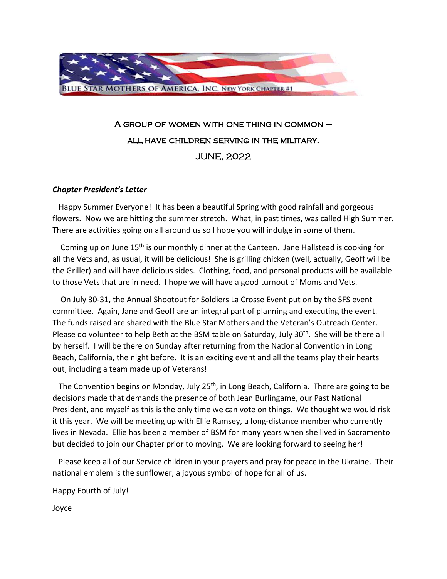

## A group of women with one thing in common – all have children serving in the military. JUNE, 2022

## *Chapter President's Letter*

 Happy Summer Everyone! It has been a beautiful Spring with good rainfall and gorgeous flowers. Now we are hitting the summer stretch. What, in past times, was called High Summer. There are activities going on all around us so I hope you will indulge in some of them.

 Coming up on June 15th is our monthly dinner at the Canteen. Jane Hallstead is cooking for all the Vets and, as usual, it will be delicious! She is grilling chicken (well, actually, Geoff will be the Griller) and will have delicious sides. Clothing, food, and personal products will be available to those Vets that are in need. I hope we will have a good turnout of Moms and Vets.

 On July 30-31, the Annual Shootout for Soldiers La Crosse Event put on by the SFS event committee. Again, Jane and Geoff are an integral part of planning and executing the event. The funds raised are shared with the Blue Star Mothers and the Veteran's Outreach Center. Please do volunteer to help Beth at the BSM table on Saturday, July 30<sup>th</sup>. She will be there all by herself. I will be there on Sunday after returning from the National Convention in Long Beach, California, the night before. It is an exciting event and all the teams play their hearts out, including a team made up of Veterans!

The Convention begins on Monday, July 25<sup>th</sup>, in Long Beach, California. There are going to be decisions made that demands the presence of both Jean Burlingame, our Past National President, and myself as this is the only time we can vote on things. We thought we would risk it this year. We will be meeting up with Ellie Ramsey, a long-distance member who currently lives in Nevada. Ellie has been a member of BSM for many years when she lived in Sacramento but decided to join our Chapter prior to moving. We are looking forward to seeing her!

 Please keep all of our Service children in your prayers and pray for peace in the Ukraine. Their national emblem is the sunflower, a joyous symbol of hope for all of us.

Happy Fourth of July!

Joyce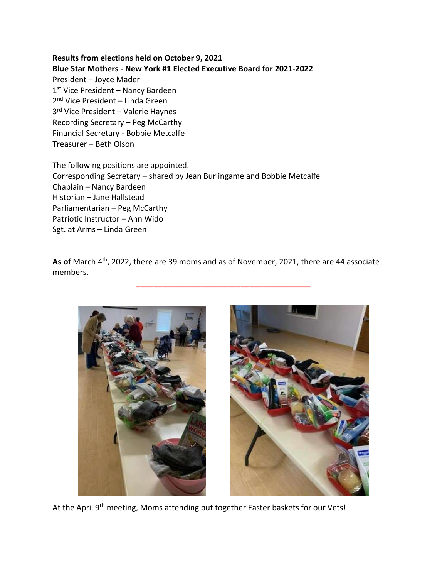**Results from elections held on October 9, 2021 Blue Star Mothers - New York #1 Elected Executive Board for 2021-2022** President – Joyce Mader 1st Vice President - Nancy Bardeen 2<sup>nd</sup> Vice President – Linda Green 3 rd Vice President – Valerie Haynes Recording Secretary – Peg McCarthy Financial Secretary - Bobbie Metcalfe Treasurer – Beth Olson

The following positions are appointed. Corresponding Secretary – shared by Jean Burlingame and Bobbie Metcalfe Chaplain – Nancy Bardeen Historian – Jane Hallstead Parliamentarian – Peg McCarthy Patriotic Instructor – Ann Wido Sgt. at Arms – Linda Green

As of March 4<sup>th</sup>, 2022, there are 39 moms and as of November, 2021, there are 44 associate members.

\_\_\_\_\_\_\_\_\_\_\_\_\_\_\_\_\_\_\_\_\_\_\_\_\_\_\_\_\_\_\_\_\_\_\_\_\_\_\_\_



At the April 9<sup>th</sup> meeting, Moms attending put together Easter baskets for our Vets!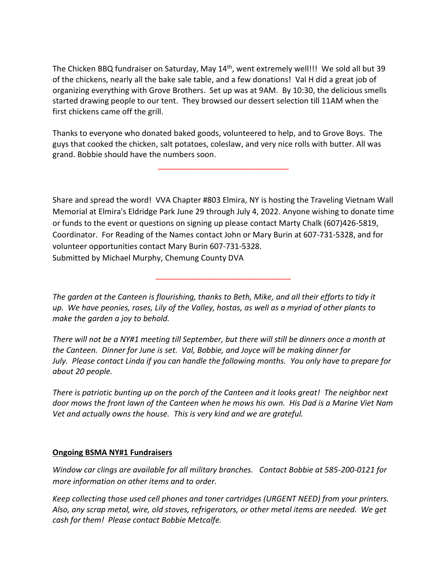The Chicken BBQ fundraiser on Saturday, May 14<sup>th</sup>, went extremely well!!! We sold all but 39 of the chickens, nearly all the bake sale table, and a few donations! Val H did a great job of organizing everything with Grove Brothers. Set up was at 9AM. By 10:30, the delicious smells started drawing people to our tent. They browsed our dessert selection till 11AM when the first chickens came off the grill.

Thanks to everyone who donated baked goods, volunteered to help, and to Grove Boys. The guys that cooked the chicken, salt potatoes, coleslaw, and very nice rolls with butter. All was grand. Bobbie should have the numbers soon.

\_\_\_\_\_\_\_\_\_\_\_\_\_\_\_\_\_\_\_\_\_\_\_\_\_\_\_\_\_\_

Share and spread the word! VVA Chapter #803 Elmira, NY is hosting the Traveling Vietnam Wall Memorial at Elmira's Eldridge Park June 29 through July 4, 2022. Anyone wishing to donate time or funds to the event or questions on signing up please contact Marty Chalk (607)426-5819, Coordinator. For Reading of the Names contact John or Mary Burin at 607-731-5328, and for volunteer opportunities contact Mary Burin 607-731-5328. Submitted by Michael Murphy, Chemung County DVA

\_\_\_\_\_\_\_\_\_\_\_\_\_\_\_\_\_\_\_\_\_\_\_\_\_\_\_\_\_\_\_

*The garden at the Canteen is flourishing, thanks to Beth, Mike, and all their efforts to tidy it up. We have peonies, roses, Lily of the Valley, hostas, as well as a myriad of other plants to make the garden a joy to behold.*

*There will not be a NY#1 meeting till September, but there will still be dinners once a month at the Canteen. Dinner for June is set. Val, Bobbie, and Joyce will be making dinner for July. Please contact Linda if you can handle the following months. You only have to prepare for about 20 people.*

*There is patriotic bunting up on the porch of the Canteen and it looks great! The neighbor next door mows the front lawn of the Canteen when he mows his own. His Dad is a Marine Viet Nam Vet and actually owns the house. This is very kind and we are grateful.* 

## **Ongoing BSMA NY#1 Fundraisers**

*Window car clings are available for all military branches. Contact Bobbie at 585-200-0121 for more information on other items and to order.* 

*Keep collecting those used cell phones and toner cartridges (URGENT NEED) from your printers. Also, any scrap metal, wire, old stoves, refrigerators, or other metal items are needed. We get cash for them! Please contact Bobbie Metcalfe.*